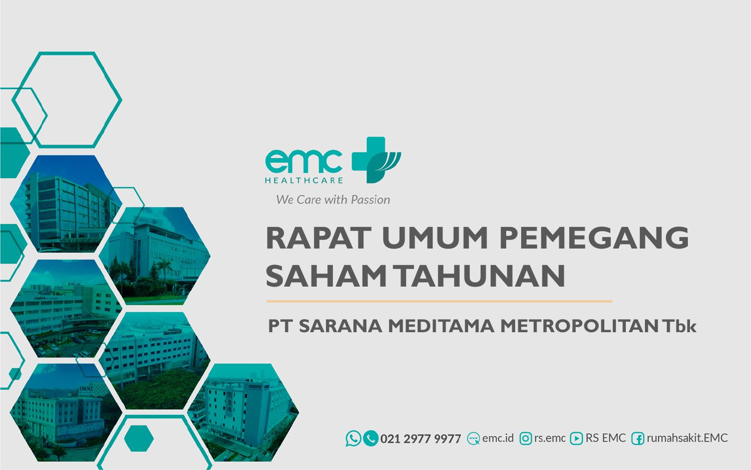



We Care with Passion

# **RAPAT UMUM PEMEGANG SAHAM TAHUNAN PT SARANA MEDITAMA METROPOLITAN Tbk**

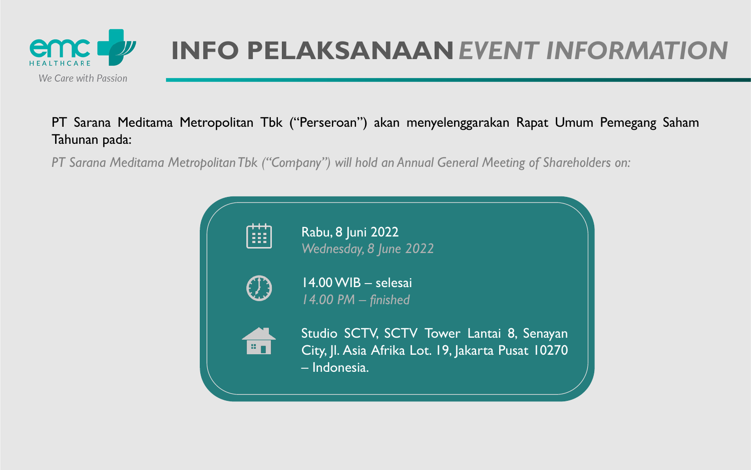## PT Sarana Meditama Metropolitan Tbk ("Perseroan") akan menyelenggarakan Rapat Umum Pemegang Saham Tahunan pada:



# **INFO PELAKSANAAN** *EVENT INFORMATION*

*PT Sarana Meditama MetropolitanTbk ("Company") will hold an Annual General Meeting of Shareholders on:*

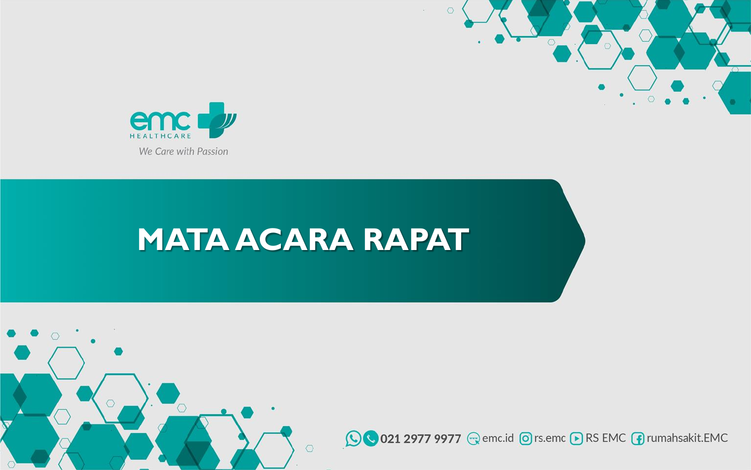



# **MATA ACARA RAPAT**



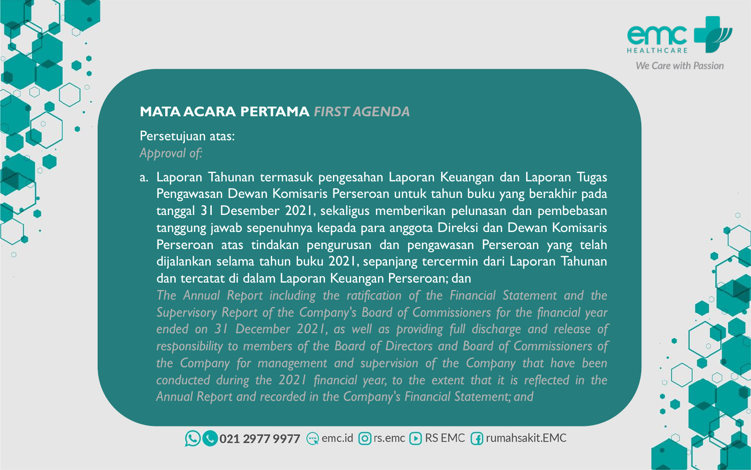## **MATA ACARA PERTAMA** *FIRST AGENDA*

## Persetujuan atas: *Approval of:*

a. Laporan Tahunan termasuk pengesahan Laporan Keuangan dan Laporan Tugas Pengawasan Dewan Komisaris Perseroan untuk tahun buku yang berakhir pada tanggal 31 Desember 2021, sekaligus memberikan pelunasan dan pembebasan tanggung jawab sepenuhnya kepada para anggota Direksi dan Dewan Komisaris Perseroan atas tindakan pengurusan dan pengawasan Perseroan yang telah dijalankan selama tahun buku 2021, sepanjang tercermin dari Laporan Tahunan dan tercatat di dalam Laporan Keuangan Perseroan; dan

*The Annual Report including the ratification of the Financial Statement and the Supervisory Report of the Company's Board of Commissioners for the financial year ended on 31 December 2021, as well as providing full discharge and release of responsibility to members of the Board of Directors and Board of Commissioners of the Company for management and supervision of the Company that have been conducted during the 2021 financial year, to the extent that it is reflected in the Annual Report and recorded in the Company's Financial Statement; and*

◯ 021 2977 9977 
we emc.id © rs.emc D RS EMC Trumahsakit.EMC

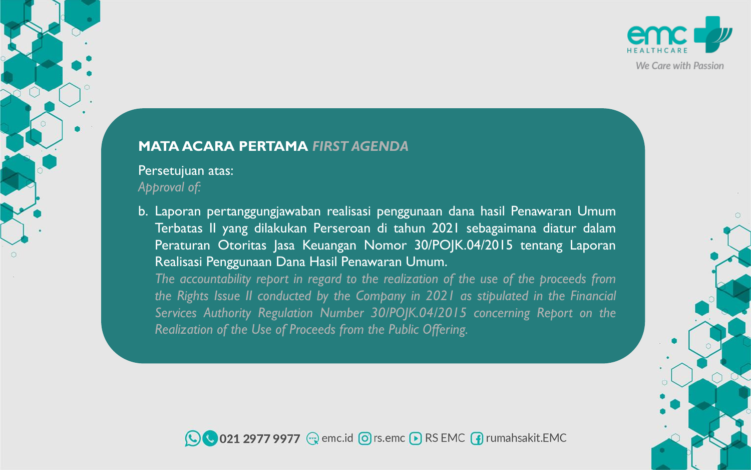### **MATA ACARA PERTAMA** *FIRST AGENDA*

## Persetujuan atas: *Approval of:*

b. Laporan pertanggungjawaban realisasi penggunaan dana hasil Penawaran Umum Terbatas II yang dilakukan Perseroan di tahun 2021 sebagaimana diatur dalam Peraturan Otoritas Jasa Keuangan Nomor 30/POJK.04/2015 tentang Laporan Realisasi Penggunaan Dana Hasil Penawaran Umum. *The accountability report in regard to the realization of the use of the proceeds from the Rights Issue II conducted by the Company in 2021 as stipulated in the Financial Services Authority Regulation Number 30/POJK.04/2015 concerning Report on the Realization of the Use of Proceeds from the Public Offering.*



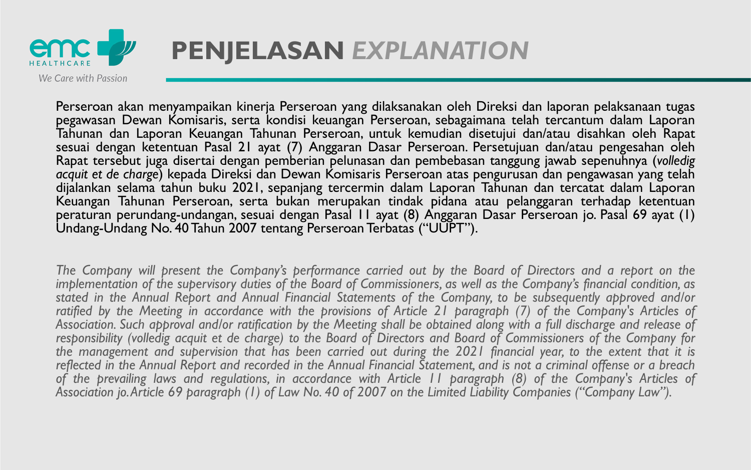

Perseroan akan menyampaikan kinerja Perseroan yang dilaksanakan oleh Direksi dan laporan pelaksanaan tugas pegawasan Dewan Komisaris, serta kondisi keuangan Perseroan, sebagaimana telah tercantum dalam Laporan Tahunan dan Laporan Keuangan Tahunan Perseroan, untuk kemudian disetujui dan/atau disahkan oleh Rapat sesuai dengan ketentuan Pasal 21 ayat (7) Anggaran Dasar Perseroan. Persetujuan dan/atau pengesahan oleh Rapat tersebut juga disertai dengan pemberian pelunasan dan pembebasan tanggung jawab sepenuhnya (*volledig acquit et de charge*) kepada Direksi dan Dewan Komisaris Perseroan atas pengurusan dan pengawasan yang telah dijalankan selama tahun buku 2021, sepanjang tercermin dalam Laporan Tahunan dan tercatat dalam Laporan Keuangan Tahunan Perseroan, serta bukan merupakan tindak pidana atau pelanggaran terhadap ketentuan peraturan perundang-undangan, sesuai dengan Pasal 11 ayat (8) Anggaran Dasar Perseroan jo. Pasal 69 ayat (1) Undang-Undang No. 40Tahun 2007 tentang Perseroan Terbatas ("UUPT").

The Company will present the Company's performance carried out by the Board of Directors and a report on the implementation of the supervisory duties of the Board of Commissioners, as well as the Company's financial condition, as stated in the Annual Report and Annual Financial Statements of the Company, to be subsequently approved and/or ratified by the Meeting in accordance with the provisions of Article 21 paragraph (7) of the Company's Articles of Association. Such approval and/or ratification by the Meeting shall be obtained along with a full discharge and release of responsibility (volledig acquit et de charge) to the Board of Directors and Board of Commissioners of the Company for the management and supervision that has been carried out during the 2021 financial year, to the extent that it is reflected in the Annual Report and recorded in the Annual Financial Statement, and is not a criminal offense or a breach of the prevailing laws and regulations, in accordance with Article 11 paragraph (8) of the Company's Articles of Association jo. Article 69 paragraph (1) of Law No. 40 of 2007 on the Limited Liability Companies ("Company Law").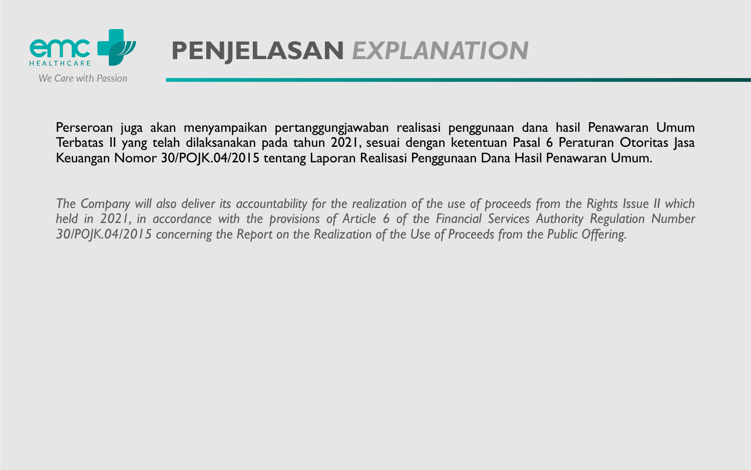

Perseroan juga akan menyampaikan pertanggungjawaban realisasi penggunaan dana hasil Penawaran Umum Terbatas II yang telah dilaksanakan pada tahun 2021, sesuai dengan ketentuan Pasal 6 Peraturan Otoritas Jasa Keuangan Nomor 30/POJK.04/2015 tentang Laporan Realisasi Penggunaan Dana Hasil Penawaran Umum.

The Company will also deliver its accountability for the realization of the use of proceeds from the Rights Issue II which held in 2021, in accordance with the provisions of Article 6 of the Financial Services Authority Regulation Number *30/POJK.04/2015 concerning the Report on the Realization of the Use of Proceeds from the Public Offering.*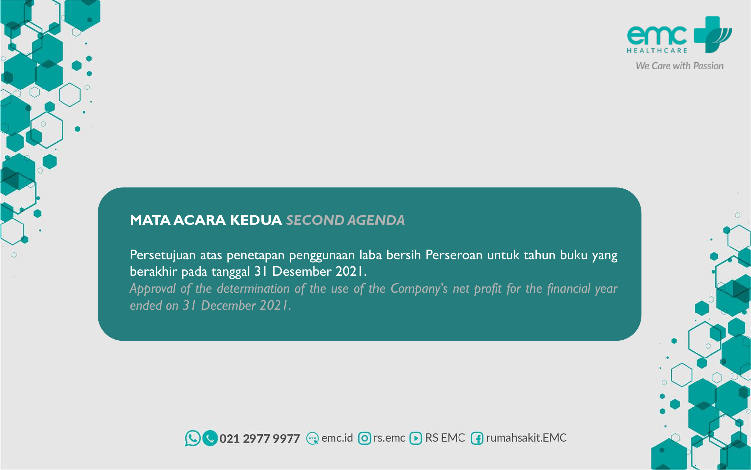## **MATA ACARA KEDUA** *SECOND AGENDA*

Persetujuan atas penetapan penggunaan laba bersih Perseroan untuk tahun buku yang berakhir pada tanggal 31 Desember 2021. *Approval of the determination of the use of the Company's net profit for the financial year ended on 31 December 2021.*





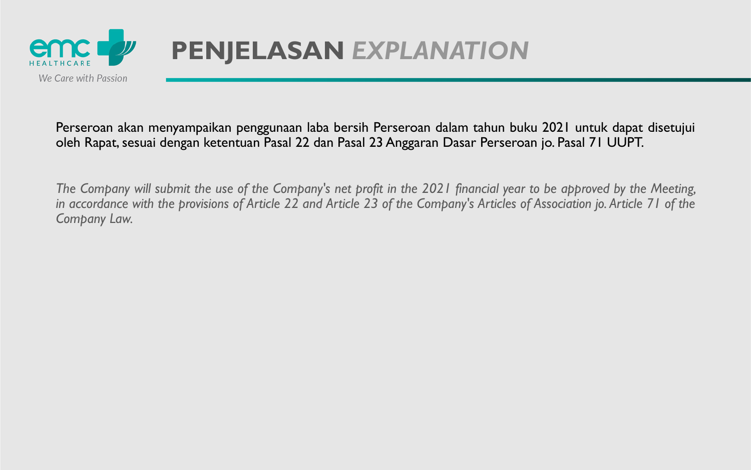

Perseroan akan menyampaikan penggunaan laba bersih Perseroan dalam tahun buku 2021 untuk dapat disetujui oleh Rapat,sesuai dengan ketentuan Pasal 22 dan Pasal 23 Anggaran Dasar Perseroan jo. Pasal 71 UUPT.

The Company will submit the use of the Company's net profit in the 2021 financial year to be approved by the Meeting, in accordance with the provisions of Article 22 and Article 23 of the Company's Articles of Association jo. Article 71 of the *Company Law.*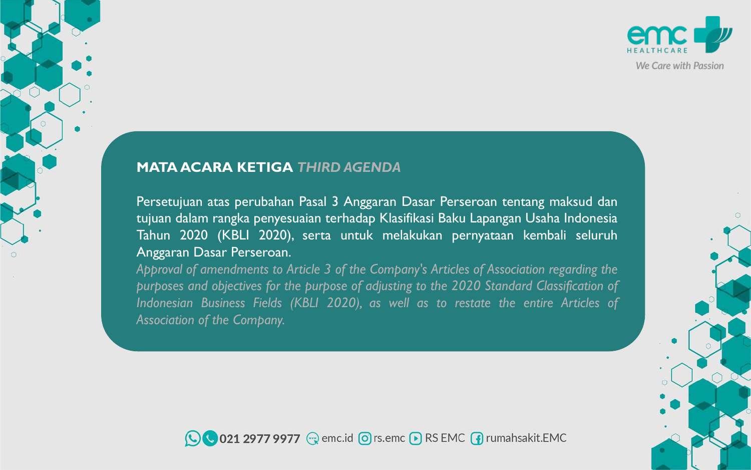### **MATA ACARA KETIGA** *THIRD AGENDA*

Persetujuan atas perubahan Pasal 3 Anggaran Dasar Perseroan tentang maksud dan tujuan dalam rangka penyesuaian terhadap Klasifikasi Baku Lapangan Usaha Indonesia Tahun 2020 (KBLI 2020), serta untuk melakukan pernyataan kembali seluruh Anggaran Dasar Perseroan.

*Approval of amendments to Article 3 of the Company's Articles of Association regarding the purposes and objectives for the purpose of adjusting to the 2020 Standard Classification of Indonesian Business Fields (KBLI 2020), as well as to restate the entire Articles of Association of the Company.*





We Care with Passion

 $\Omega$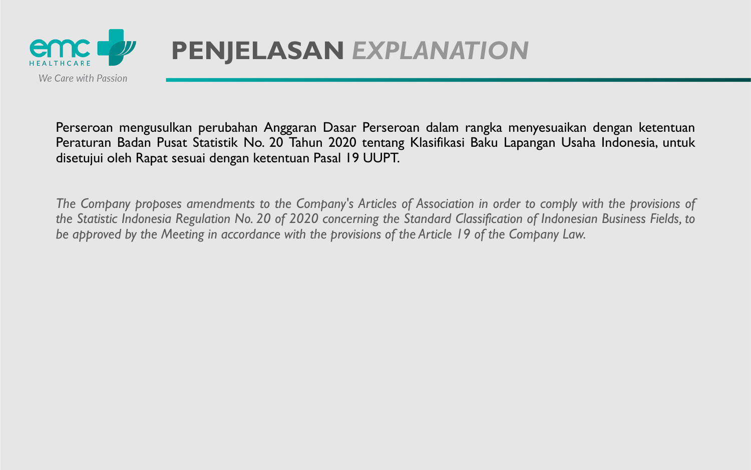

Perseroan mengusulkan perubahan Anggaran Dasar Perseroan dalam rangka menyesuaikan dengan ketentuan Peraturan Badan Pusat Statistik No. 20 Tahun 2020 tentang Klasifikasi Baku Lapangan Usaha Indonesia, untuk disetujui oleh Rapat sesuai dengan ketentuan Pasal 19 UUPT.

The Company proposes amendments to the Company's Articles of Association in order to comply with the provisions of the Statistic Indonesia Regulation No. 20 of 2020 concerning the Standard Classification of Indonesian Business Fields, to *be approved by the Meeting in accordance with the provisions of the Article 19 of the Company Law.*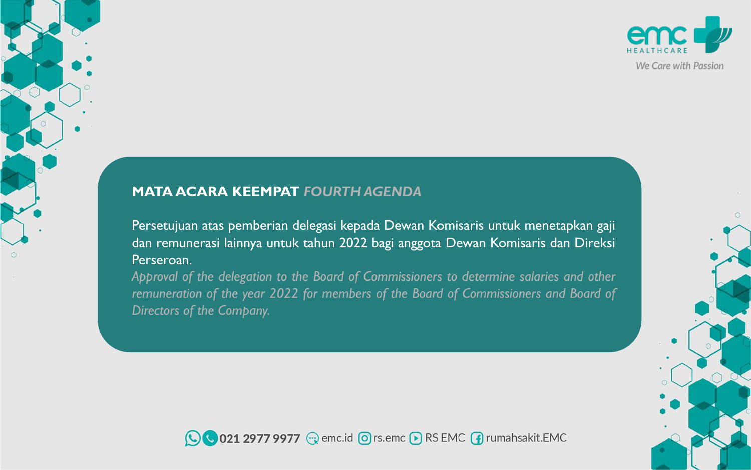## **MATA ACARA KEEMPAT** *FOURTH AGENDA*

Persetujuan atas pemberian delegasi kepada Dewan Komisaris untuk menetapkan gaji dan remunerasi lainnya untuk tahun 2022 bagi anggota Dewan Komisaris dan Direksi Perseroan.

*Approval of the delegation to the Board of Commissioners to determine salaries and other remuneration of the year 2022 for members of the Board of Commissioners and Board of Directors of the Company.*





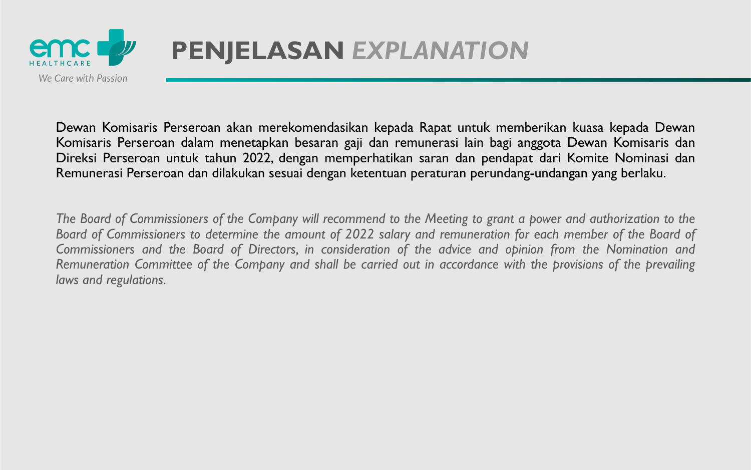

Dewan Komisaris Perseroan akan merekomendasikan kepada Rapat untuk memberikan kuasa kepada Dewan Komisaris Perseroan dalam menetapkan besaran gaji dan remunerasi lain bagi anggota Dewan Komisaris dan Direksi Perseroan untuk tahun 2022, dengan memperhatikan saran dan pendapat dari Komite Nominasi dan Remunerasi Perseroan dan dilakukan sesuai dengan ketentuan peraturan perundang-undangan yang berlaku.

The Board of Commissioners of the Company will recommend to the Meeting to grant a power and authorization to the Board of Commissioners to determine the amount of 2022 salary and remuneration for each member of the Board of Commissioners and the Board of Directors, in consideration of the advice and opinion from the Nomination and Remuneration Committee of the Company and shall be carried out in accordance with the provisions of the prevailing *laws and regulations.*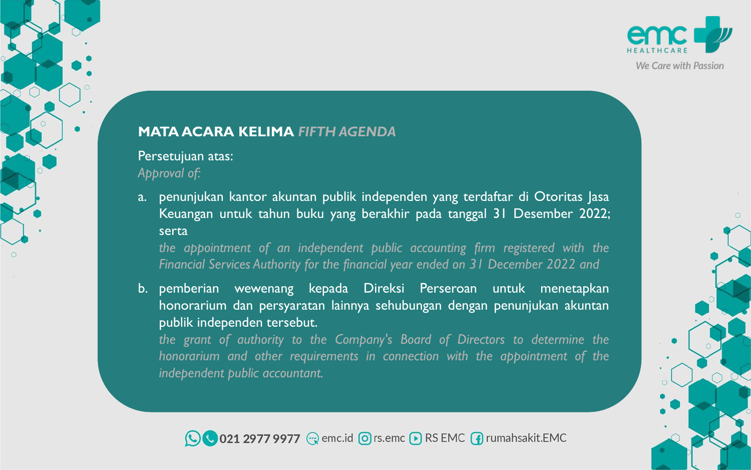## **MATA ACARA KELIMA** *FIFTH AGENDA*

## Persetujuan atas: *Approval of:*

a. penunjukan kantor akuntan publik independen yang terdaftar di Otoritas Jasa Keuangan untuk tahun buku yang berakhir pada tanggal 31 Desember 2022; serta

*the appointment of an independent public accounting firm registered with the Financial Services Authority for the financial year ended on 31 December 2022 and*

b. pemberian wewenang kepada Direksi Perseroan untuk menetapkan honorarium dan persyaratan lainnya sehubungan dengan penunjukan akuntan publik independen tersebut.

*the grant of authority to the Company's Board of Directors to determine the honorarium and other requirements in connection with the appointment of the independent public accountant.*

◯ 021 2977 9977 
we emc.id © rs.emc D RS EMC Trumahsakit.EMC



We Care with Passion

 $\Omega$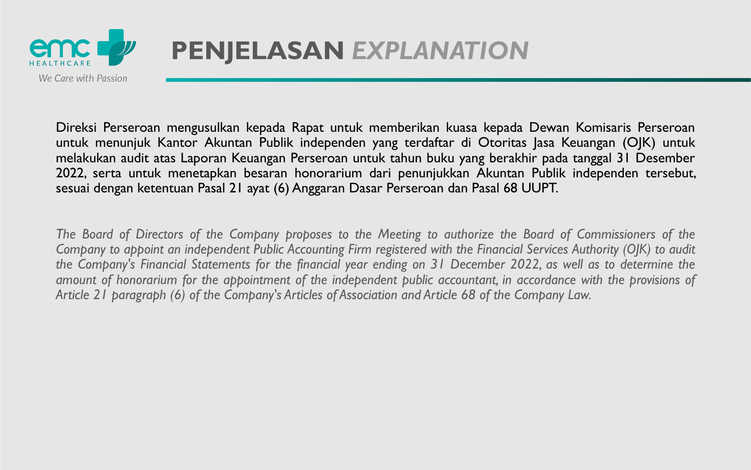

Direksi Perseroan mengusulkan kepada Rapat untuk memberikan kuasa kepada Dewan Komisaris Perseroan untuk menunjuk Kantor Akuntan Publik independen yang terdaftar di Otoritas Jasa Keuangan (OJK) untuk melakukan audit atas Laporan Keuangan Perseroan untuk tahun buku yang berakhir pada tanggal 31 Desember 2022, serta untuk menetapkan besaran honorarium dari penunjukkan Akuntan Publik independen tersebut, sesuai dengan ketentuan Pasal 21 ayat (6) Anggaran Dasar Perseroan dan Pasal 68 UUPT.

The Board of Directors of the Company proposes to the Meeting to authorize the Board of Commissioners of the Company to appoint an independent Public Accounting Firm registered with the Financial Services Authority (OJK) to audit the Company's Financial Statements for the financial year ending on 31 December 2022, as well as to determine the amount of honorarium for the appointment of the independent public accountant, in accordance with the provisions of *Article 21 paragraph (6) of the Company's Articles of Association and Article 68 of the Company Law.*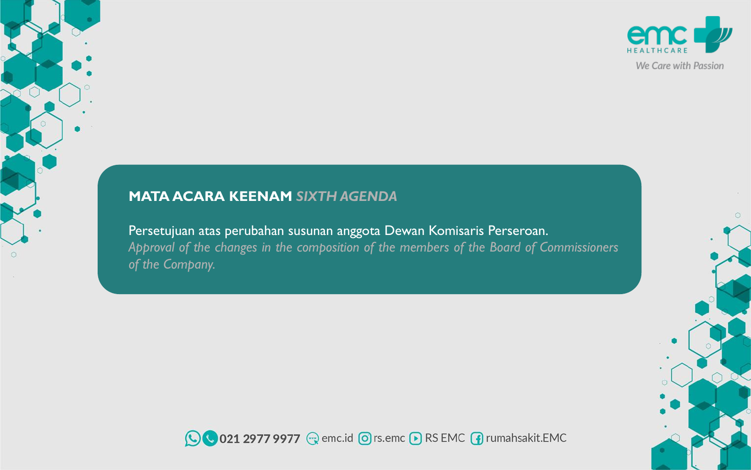## **MATA ACARA KEENAM** *SIXTH AGENDA*

Persetujuan atas perubahan susunan anggota Dewan Komisaris Perseroan. *Approval of the changes in the composition of the members of the Board of Commissioners of the Company.*





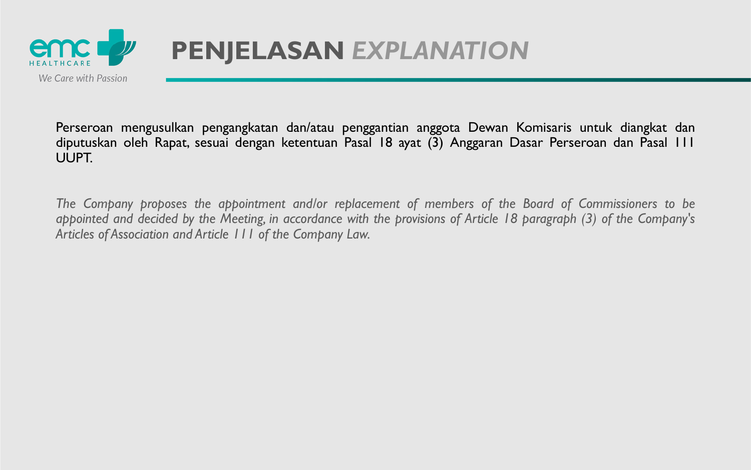

Perseroan mengusulkan pengangkatan dan/atau penggantian anggota Dewan Komisaris untuk diangkat dan diputuskan oleh Rapat, sesuai dengan ketentuan Pasal 18 ayat (3) Anggaran Dasar Perseroan dan Pasal 111 UUPT.

*The Company proposes the appointment and/or replacement of members of the Board of Commissioners to be* appointed and decided by the Meeting, in accordance with the provisions of Article 18 paragraph (3) of the Company's *Articles of Association and Article 111 of the Company Law.*